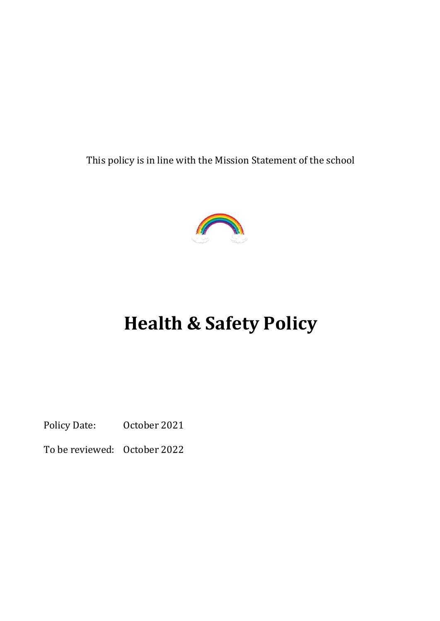This policy is in line with the Mission Statement of the school



# **Health & Safety Policy**

Policy Date: October 2021

To be reviewed: October 2022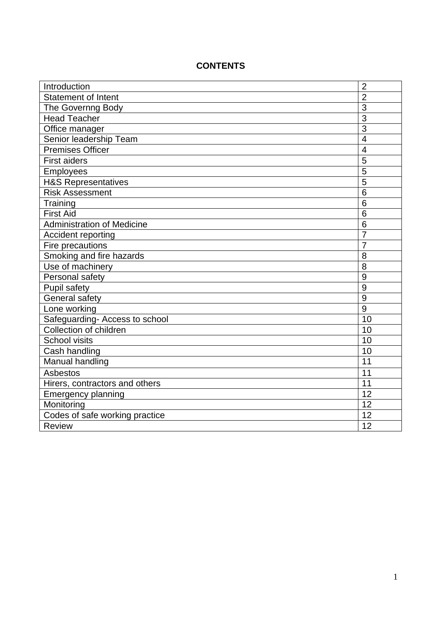| Introduction                      | $\overline{2}$  |
|-----------------------------------|-----------------|
| <b>Statement of Intent</b>        | $\overline{2}$  |
| The Governng Body                 | 3               |
| <b>Head Teacher</b>               | 3               |
| Office manager                    | $\overline{3}$  |
| Senior leadership Team            | $\overline{4}$  |
| <b>Premises Officer</b>           | $\overline{4}$  |
| <b>First aiders</b>               | 5               |
| <b>Employees</b>                  | 5               |
| <b>H&amp;S Representatives</b>    | 5               |
| <b>Risk Assessment</b>            | 6               |
| Training                          | $6\phantom{1}6$ |
| <b>First Aid</b>                  | 6               |
| <b>Administration of Medicine</b> | 6               |
| Accident reporting                | 7               |
| Fire precautions                  | 7               |
| Smoking and fire hazards          | 8               |
| Use of machinery                  | 8               |
| Personal safety                   | 9               |
| <b>Pupil safety</b>               | 9               |
| General safety                    | 9               |
| Lone working                      | 9               |
| Safeguarding- Access to school    | 10              |
| Collection of children            | 10              |
| <b>School visits</b>              | 10              |
| Cash handling                     | 10              |
| Manual handling                   | $\overline{11}$ |
| <b>Asbestos</b>                   | 11              |
| Hirers, contractors and others    | 11              |
| <b>Emergency planning</b>         | 12              |
| Monitoring                        | 12              |
| Codes of safe working practice    | 12              |
| <b>Review</b>                     | 12              |

## **CONTENTS**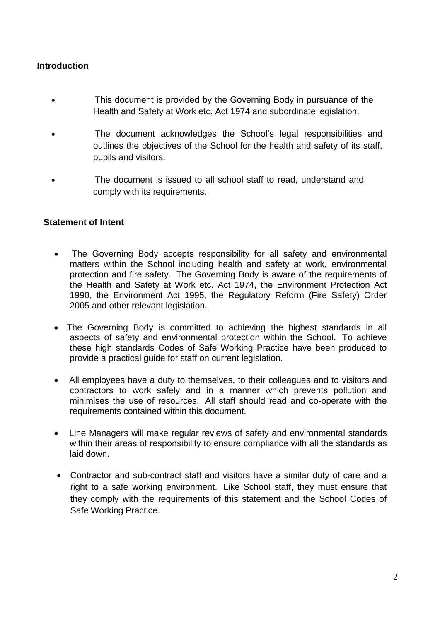#### **Introduction**

- This document is provided by the Governing Body in pursuance of the Health and Safety at Work etc. Act 1974 and subordinate legislation.
- The document acknowledges the School's legal responsibilities and outlines the objectives of the School for the health and safety of its staff, pupils and visitors.
- The document is issued to all school staff to read, understand and comply with its requirements.

#### **Statement of Intent**

- The Governing Body accepts responsibility for all safety and environmental matters within the School including health and safety at work, environmental protection and fire safety. The Governing Body is aware of the requirements of the Health and Safety at Work etc. Act 1974, the Environment Protection Act 1990, the Environment Act 1995, the Regulatory Reform (Fire Safety) Order 2005 and other relevant legislation.
- The Governing Body is committed to achieving the highest standards in all aspects of safety and environmental protection within the School. To achieve these high standards Codes of Safe Working Practice have been produced to provide a practical guide for staff on current legislation.
- All employees have a duty to themselves, to their colleagues and to visitors and contractors to work safely and in a manner which prevents pollution and minimises the use of resources. All staff should read and co-operate with the requirements contained within this document.
- Line Managers will make regular reviews of safety and environmental standards within their areas of responsibility to ensure compliance with all the standards as laid down.
- Contractor and sub-contract staff and visitors have a similar duty of care and a right to a safe working environment. Like School staff, they must ensure that they comply with the requirements of this statement and the School Codes of Safe Working Practice.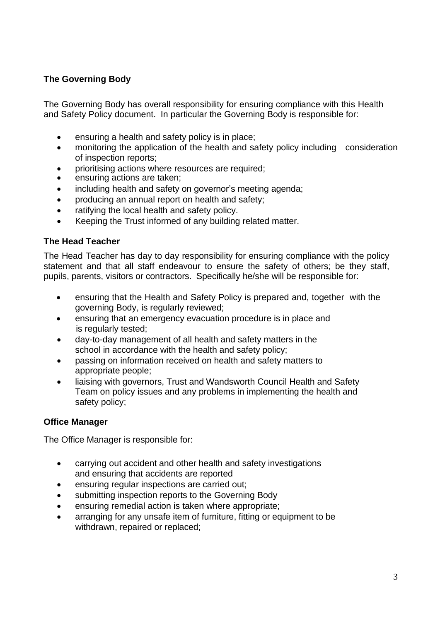## **The Governing Body**

The Governing Body has overall responsibility for ensuring compliance with this Health and Safety Policy document. In particular the Governing Body is responsible for:

- ensuring a health and safety policy is in place;
- monitoring the application of the health and safety policy including consideration of inspection reports;
- prioritising actions where resources are required;
- ensuring actions are taken;
- including health and safety on governor's meeting agenda;
- producing an annual report on health and safety;
- ratifying the local health and safety policy.
- Keeping the Trust informed of any building related matter.

### **The Head Teacher**

The Head Teacher has day to day responsibility for ensuring compliance with the policy statement and that all staff endeavour to ensure the safety of others; be they staff, pupils, parents, visitors or contractors. Specifically he/she will be responsible for:

- ensuring that the Health and Safety Policy is prepared and, together with the governing Body, is regularly reviewed;
- ensuring that an emergency evacuation procedure is in place and is regularly tested;
- day-to-day management of all health and safety matters in the school in accordance with the health and safety policy;
- passing on information received on health and safety matters to appropriate people;
- liaising with governors, Trust and Wandsworth Council Health and Safety Team on policy issues and any problems in implementing the health and safety policy;

### **Office Manager**

The Office Manager is responsible for:

- carrying out accident and other health and safety investigations and ensuring that accidents are reported
- ensuring regular inspections are carried out;
- submitting inspection reports to the Governing Body
- ensuring remedial action is taken where appropriate;
- arranging for any unsafe item of furniture, fitting or equipment to be withdrawn, repaired or replaced;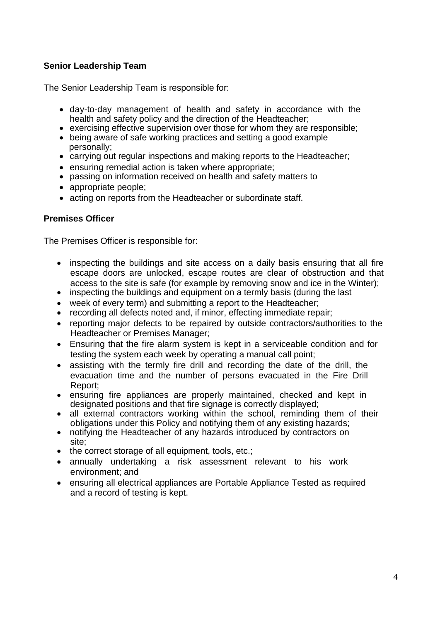## **Senior Leadership Team**

The Senior Leadership Team is responsible for:

- day-to-day management of health and safety in accordance with the health and safety policy and the direction of the Headteacher;
- exercising effective supervision over those for whom they are responsible;
- being aware of safe working practices and setting a good example personally;
- carrying out regular inspections and making reports to the Headteacher;
- ensuring remedial action is taken where appropriate;
- passing on information received on health and safety matters to
- appropriate people;
- acting on reports from the Headteacher or subordinate staff.

#### **Premises Officer**

The Premises Officer is responsible for:

- inspecting the buildings and site access on a daily basis ensuring that all fire escape doors are unlocked, escape routes are clear of obstruction and that access to the site is safe (for example by removing snow and ice in the Winter);
- inspecting the buildings and equipment on a termly basis (during the last
- week of every term) and submitting a report to the Headteacher;
- recording all defects noted and, if minor, effecting immediate repair;
- reporting major defects to be repaired by outside contractors/authorities to the Headteacher or Premises Manager;
- Ensuring that the fire alarm system is kept in a serviceable condition and for testing the system each week by operating a manual call point;
- assisting with the termly fire drill and recording the date of the drill, the evacuation time and the number of persons evacuated in the Fire Drill Report;
- ensuring fire appliances are properly maintained, checked and kept in designated positions and that fire signage is correctly displayed;
- all external contractors working within the school, reminding them of their obligations under this Policy and notifying them of any existing hazards;
- notifying the Headteacher of any hazards introduced by contractors on site;
- the correct storage of all equipment, tools, etc.;
- annually undertaking a risk assessment relevant to his work environment; and
- ensuring all electrical appliances are Portable Appliance Tested as required and a record of testing is kept.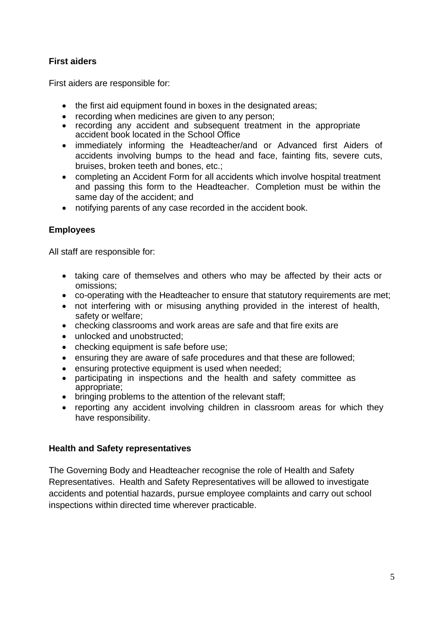## **First aiders**

First aiders are responsible for:

- the first aid equipment found in boxes in the designated areas;
- recording when medicines are given to any person;
- recording any accident and subsequent treatment in the appropriate accident book located in the School Office
- immediately informing the Headteacher/and or Advanced first Aiders of accidents involving bumps to the head and face, fainting fits, severe cuts, bruises, broken teeth and bones, etc.;
- completing an Accident Form for all accidents which involve hospital treatment and passing this form to the Headteacher. Completion must be within the same day of the accident; and
- notifying parents of any case recorded in the accident book.

## **Employees**

All staff are responsible for:

- taking care of themselves and others who may be affected by their acts or omissions;
- co-operating with the Headteacher to ensure that statutory requirements are met;
- not interfering with or misusing anything provided in the interest of health, safety or welfare;
- checking classrooms and work areas are safe and that fire exits are
- unlocked and unobstructed;
- checking equipment is safe before use;
- ensuring they are aware of safe procedures and that these are followed;
- ensuring protective equipment is used when needed;
- participating in inspections and the health and safety committee as appropriate;
- bringing problems to the attention of the relevant staff;
- reporting any accident involving children in classroom areas for which they have responsibility.

### **Health and Safety representatives**

The Governing Body and Headteacher recognise the role of Health and Safety Representatives. Health and Safety Representatives will be allowed to investigate accidents and potential hazards, pursue employee complaints and carry out school inspections within directed time wherever practicable.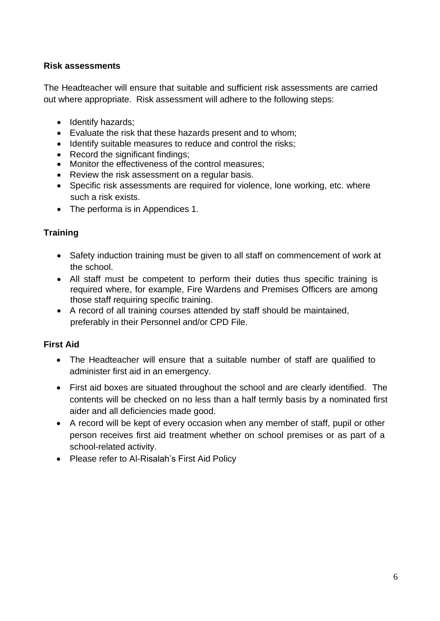## **Risk assessments**

The Headteacher will ensure that suitable and sufficient risk assessments are carried out where appropriate. Risk assessment will adhere to the following steps:

- Identify hazards;
- Evaluate the risk that these hazards present and to whom;
- Identify suitable measures to reduce and control the risks;
- Record the significant findings;
- Monitor the effectiveness of the control measures;
- Review the risk assessment on a regular basis.
- Specific risk assessments are required for violence, lone working, etc. where such a risk exists.
- The performa is in Appendices 1.

## **Training**

- Safety induction training must be given to all staff on commencement of work at the school.
- All staff must be competent to perform their duties thus specific training is required where, for example, Fire Wardens and Premises Officers are among those staff requiring specific training.
- A record of all training courses attended by staff should be maintained, preferably in their Personnel and/or CPD File.

## **First Aid**

- The Headteacher will ensure that a suitable number of staff are qualified to administer first aid in an emergency.
- First aid boxes are situated throughout the school and are clearly identified. The contents will be checked on no less than a half termly basis by a nominated first aider and all deficiencies made good.
- A record will be kept of every occasion when any member of staff, pupil or other person receives first aid treatment whether on school premises or as part of a school-related activity.
- Please refer to Al-Risalah's First Aid Policy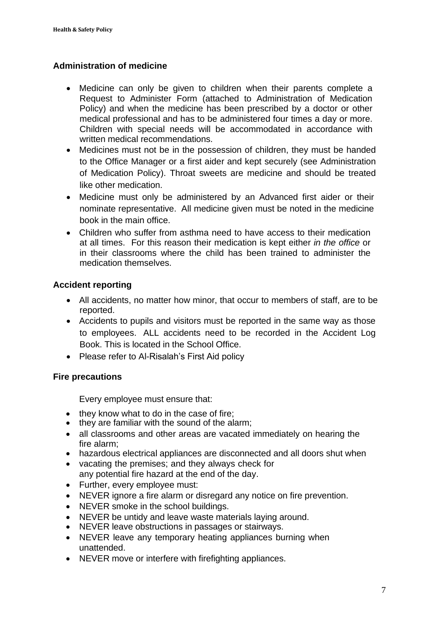## **Administration of medicine**

- Medicine can only be given to children when their parents complete a Request to Administer Form (attached to Administration of Medication Policy) and when the medicine has been prescribed by a doctor or other medical professional and has to be administered four times a day or more. Children with special needs will be accommodated in accordance with written medical recommendations.
- Medicines must not be in the possession of children, they must be handed to the Office Manager or a first aider and kept securely (see Administration of Medication Policy). Throat sweets are medicine and should be treated like other medication.
- Medicine must only be administered by an Advanced first aider or their nominate representative. All medicine given must be noted in the medicine book in the main office.
- Children who suffer from asthma need to have access to their medication at all times. For this reason their medication is kept either *in the office* or in their classrooms where the child has been trained to administer the medication themselves.

## **Accident reporting**

- All accidents, no matter how minor, that occur to members of staff, are to be reported.
- Accidents to pupils and visitors must be reported in the same way as those to employees. ALL accidents need to be recorded in the Accident Log Book. This is located in the School Office.
- Please refer to Al-Risalah's First Aid policy

### **Fire precautions**

Every employee must ensure that:

- they know what to do in the case of fire;
- they are familiar with the sound of the alarm;
- all classrooms and other areas are vacated immediately on hearing the fire alarm;
- hazardous electrical appliances are disconnected and all doors shut when
- vacating the premises; and they always check for any potential fire hazard at the end of the day.
- Further, every employee must:
- NEVER ignore a fire alarm or disregard any notice on fire prevention.
- NEVER smoke in the school buildings.
- NEVER be untidy and leave waste materials laying around.
- NEVER leave obstructions in passages or stairways.
- NEVER leave any temporary heating appliances burning when unattended.
- NEVER move or interfere with firefighting appliances.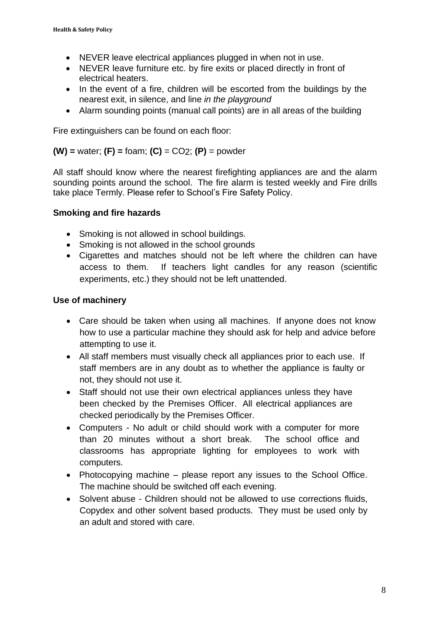- NEVER leave electrical appliances plugged in when not in use.
- NEVER leave furniture etc. by fire exits or placed directly in front of electrical heaters.
- In the event of a fire, children will be escorted from the buildings by the nearest exit, in silence, and line *in the playground*
- Alarm sounding points (manual call points) are in all areas of the building

Fire extinguishers can be found on each floor:

**(W) =** water; **(F) =** foam; **(C)** = CO2; **(P)** = powder

All staff should know where the nearest firefighting appliances are and the alarm sounding points around the school. The fire alarm is tested weekly and Fire drills take place Termly. Please refer to School's Fire Safety Policy.

#### **Smoking and fire hazards**

- Smoking is not allowed in school buildings.
- Smoking is not allowed in the school grounds
- Cigarettes and matches should not be left where the children can have access to them. If teachers light candles for any reason (scientific experiments, etc.) they should not be left unattended.

#### **Use of machinery**

- Care should be taken when using all machines. If anyone does not know how to use a particular machine they should ask for help and advice before attempting to use it.
- All staff members must visually check all appliances prior to each use. If staff members are in any doubt as to whether the appliance is faulty or not, they should not use it.
- Staff should not use their own electrical appliances unless they have been checked by the Premises Officer. All electrical appliances are checked periodically by the Premises Officer.
- Computers No adult or child should work with a computer for more than 20 minutes without a short break. The school office and classrooms has appropriate lighting for employees to work with computers.
- Photocopying machine please report any issues to the School Office. The machine should be switched off each evening.
- Solvent abuse Children should not be allowed to use corrections fluids, Copydex and other solvent based products. They must be used only by an adult and stored with care.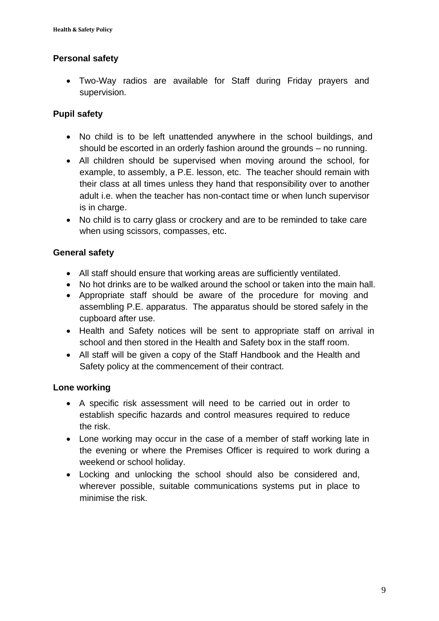## **Personal safety**

• Two-Way radios are available for Staff during Friday prayers and supervision.

## **Pupil safety**

- No child is to be left unattended anywhere in the school buildings, and should be escorted in an orderly fashion around the grounds – no running.
- All children should be supervised when moving around the school, for example, to assembly, a P.E. lesson, etc. The teacher should remain with their class at all times unless they hand that responsibility over to another adult i.e. when the teacher has non-contact time or when lunch supervisor is in charge.
- No child is to carry glass or crockery and are to be reminded to take care when using scissors, compasses, etc.

## **General safety**

- All staff should ensure that working areas are sufficiently ventilated.
- No hot drinks are to be walked around the school or taken into the main hall.
- Appropriate staff should be aware of the procedure for moving and assembling P.E. apparatus. The apparatus should be stored safely in the cupboard after use.
- Health and Safety notices will be sent to appropriate staff on arrival in school and then stored in the Health and Safety box in the staff room.
- All staff will be given a copy of the Staff Handbook and the Health and Safety policy at the commencement of their contract.

### **Lone working**

- A specific risk assessment will need to be carried out in order to establish specific hazards and control measures required to reduce the risk.
- Lone working may occur in the case of a member of staff working late in the evening or where the Premises Officer is required to work during a weekend or school holiday.
- Locking and unlocking the school should also be considered and, wherever possible, suitable communications systems put in place to minimise the risk.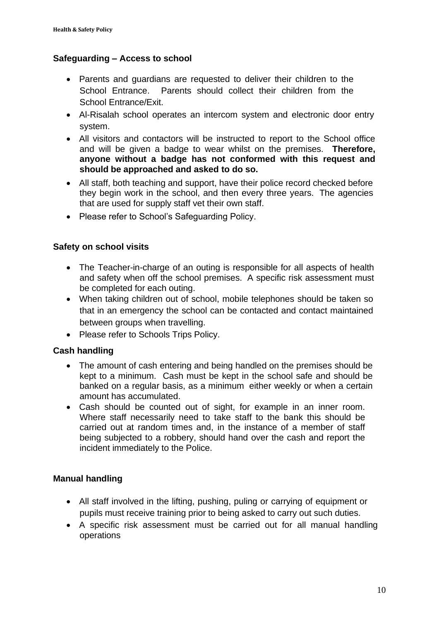#### **Safeguarding – Access to school**

- Parents and guardians are requested to deliver their children to the School Entrance. Parents should collect their children from the School Entrance/Exit.
- Al-Risalah school operates an intercom system and electronic door entry system.
- All visitors and contactors will be instructed to report to the School office and will be given a badge to wear whilst on the premises. **Therefore, anyone without a badge has not conformed with this request and should be approached and asked to do so.**
- All staff, both teaching and support, have their police record checked before they begin work in the school, and then every three years. The agencies that are used for supply staff vet their own staff.
- Please refer to School's Safeguarding Policy.

#### **Safety on school visits**

- The Teacher-in-charge of an outing is responsible for all aspects of health and safety when off the school premises. A specific risk assessment must be completed for each outing.
- When taking children out of school, mobile telephones should be taken so that in an emergency the school can be contacted and contact maintained between groups when travelling.
- Please refer to Schools Trips Policy.

### **Cash handling**

- The amount of cash entering and being handled on the premises should be kept to a minimum. Cash must be kept in the school safe and should be banked on a regular basis, as a minimum either weekly or when a certain amount has accumulated.
- Cash should be counted out of sight, for example in an inner room. Where staff necessarily need to take staff to the bank this should be carried out at random times and, in the instance of a member of staff being subjected to a robbery, should hand over the cash and report the incident immediately to the Police.

### **Manual handling**

- All staff involved in the lifting, pushing, puling or carrying of equipment or pupils must receive training prior to being asked to carry out such duties.
- A specific risk assessment must be carried out for all manual handling operations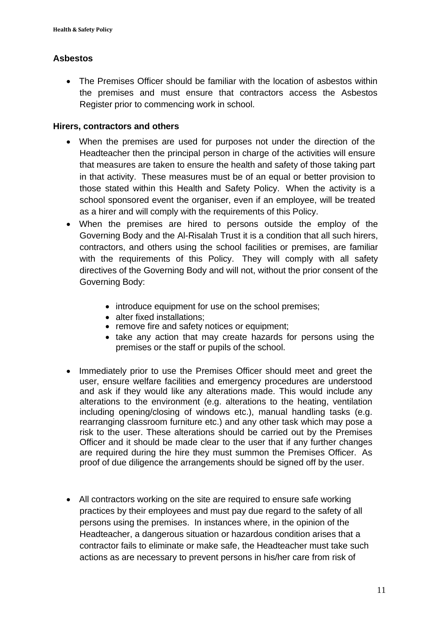## **Asbestos**

• The Premises Officer should be familiar with the location of asbestos within the premises and must ensure that contractors access the Asbestos Register prior to commencing work in school.

#### **Hirers, contractors and others**

- When the premises are used for purposes not under the direction of the Headteacher then the principal person in charge of the activities will ensure that measures are taken to ensure the health and safety of those taking part in that activity. These measures must be of an equal or better provision to those stated within this Health and Safety Policy. When the activity is a school sponsored event the organiser, even if an employee, will be treated as a hirer and will comply with the requirements of this Policy.
- When the premises are hired to persons outside the employ of the Governing Body and the Al-Risalah Trust it is a condition that all such hirers, contractors, and others using the school facilities or premises, are familiar with the requirements of this Policy. They will comply with all safety directives of the Governing Body and will not, without the prior consent of the Governing Body:
	- introduce equipment for use on the school premises:
	- alter fixed installations:
	- remove fire and safety notices or equipment;
	- take any action that may create hazards for persons using the premises or the staff or pupils of the school.
- Immediately prior to use the Premises Officer should meet and greet the user, ensure welfare facilities and emergency procedures are understood and ask if they would like any alterations made. This would include any alterations to the environment (e.g. alterations to the heating, ventilation including opening/closing of windows etc.), manual handling tasks (e.g. rearranging classroom furniture etc.) and any other task which may pose a risk to the user. These alterations should be carried out by the Premises Officer and it should be made clear to the user that if any further changes are required during the hire they must summon the Premises Officer. As proof of due diligence the arrangements should be signed off by the user.
- All contractors working on the site are required to ensure safe working practices by their employees and must pay due regard to the safety of all persons using the premises. In instances where, in the opinion of the Headteacher, a dangerous situation or hazardous condition arises that a contractor fails to eliminate or make safe, the Headteacher must take such actions as are necessary to prevent persons in his/her care from risk of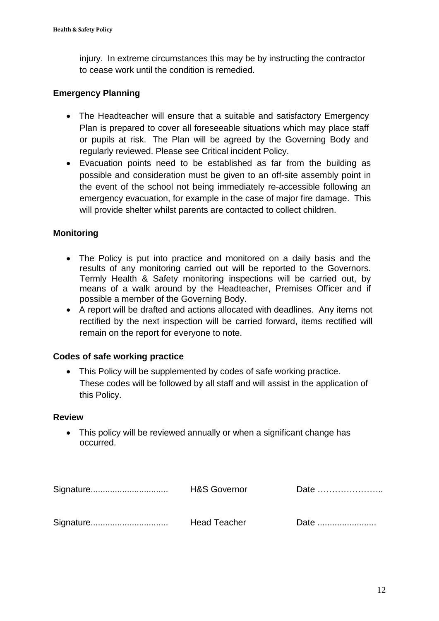injury. In extreme circumstances this may be by instructing the contractor to cease work until the condition is remedied.

#### **Emergency Planning**

- The Headteacher will ensure that a suitable and satisfactory Emergency Plan is prepared to cover all foreseeable situations which may place staff or pupils at risk. The Plan will be agreed by the Governing Body and regularly reviewed. Please see Critical incident Policy.
- Evacuation points need to be established as far from the building as possible and consideration must be given to an off-site assembly point in the event of the school not being immediately re-accessible following an emergency evacuation, for example in the case of major fire damage. This will provide shelter whilst parents are contacted to collect children.

#### **Monitoring**

- The Policy is put into practice and monitored on a daily basis and the results of any monitoring carried out will be reported to the Governors. Termly Health & Safety monitoring inspections will be carried out, by means of a walk around by the Headteacher, Premises Officer and if possible a member of the Governing Body.
- A report will be drafted and actions allocated with deadlines. Any items not rectified by the next inspection will be carried forward, items rectified will remain on the report for everyone to note.

#### **Codes of safe working practice**

• This Policy will be supplemented by codes of safe working practice. These codes will be followed by all staff and will assist in the application of this Policy.

#### **Review**

• This policy will be reviewed annually or when a significant change has occurred.

| <b>H&amp;S Governor</b> | Date |
|-------------------------|------|
| <b>Head Teacher</b>     | Date |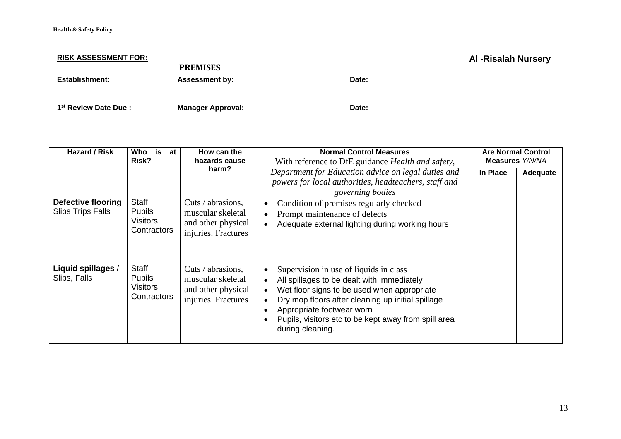| <b>RISK ASSESSMENT FOR:</b>       |                          |       |
|-----------------------------------|--------------------------|-------|
|                                   | <b>PREMISES</b>          |       |
| Establishment:                    | <b>Assessment by:</b>    | Date: |
| 1 <sup>st</sup> Review Date Due : | <b>Manager Approval:</b> | Date: |

## **Al -Risalah Nursery**

| Hazard / Risk                                  | Who<br>is<br>at<br>Risk?                                        | How can the<br>hazards cause                                                        | <b>Normal Control Measures</b><br>With reference to DfE guidance Health and safety,                                                                                                                                                                                                                                         | <b>Are Normal Control</b><br><b>Measures Y/N/NA</b> |          |
|------------------------------------------------|-----------------------------------------------------------------|-------------------------------------------------------------------------------------|-----------------------------------------------------------------------------------------------------------------------------------------------------------------------------------------------------------------------------------------------------------------------------------------------------------------------------|-----------------------------------------------------|----------|
|                                                |                                                                 | harm?                                                                               | Department for Education advice on legal duties and<br>powers for local authorities, headteachers, staff and<br>governing bodies                                                                                                                                                                                            | In Place                                            | Adequate |
| Defective flooring<br><b>Slips Trips Falls</b> | Staff<br><b>Pupils</b><br><b>Visitors</b><br>Contractors        | Cuts / abrasions,<br>muscular skeletal<br>and other physical<br>injuries. Fractures | Condition of premises regularly checked<br>$\bullet$<br>Prompt maintenance of defects<br>$\bullet$<br>Adequate external lighting during working hours<br>$\bullet$                                                                                                                                                          |                                                     |          |
| Liquid spillages /<br>Slips, Falls             | <b>Staff</b><br><b>Pupils</b><br><b>Visitors</b><br>Contractors | Cuts / abrasions,<br>muscular skeletal<br>and other physical<br>injuries. Fractures | Supervision in use of liquids in class<br>All spillages to be dealt with immediately<br>Wet floor signs to be used when appropriate<br>$\bullet$<br>Dry mop floors after cleaning up initial spillage<br>Appropriate footwear worn<br>$\bullet$<br>Pupils, visitors etc to be kept away from spill area<br>during cleaning. |                                                     |          |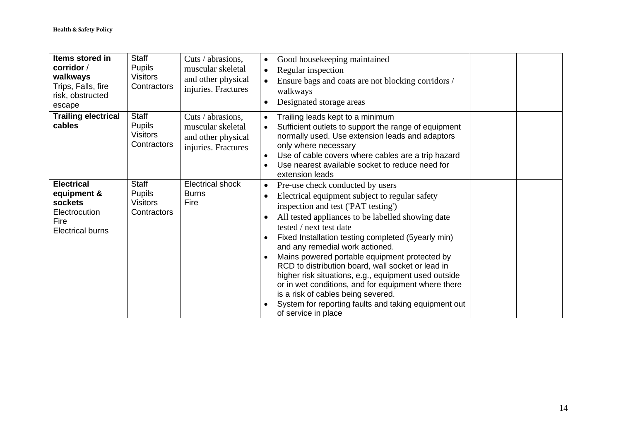| Items stored in<br>corridor /<br>walkways<br>Trips, Falls, fire<br>risk, obstructed<br>escape   | Staff<br><b>Pupils</b><br><b>Visitors</b><br>Contractors        | Cuts / abrasions,<br>muscular skeletal<br>and other physical<br>injuries. Fractures | Good housekeeping maintained<br>$\bullet$<br>Regular inspection<br>$\bullet$<br>Ensure bags and coats are not blocking corridors /<br>walkways<br>Designated storage areas                                                                                                                                                                                                                                                                                                                                                                                                                                                                                                                                    |  |
|-------------------------------------------------------------------------------------------------|-----------------------------------------------------------------|-------------------------------------------------------------------------------------|---------------------------------------------------------------------------------------------------------------------------------------------------------------------------------------------------------------------------------------------------------------------------------------------------------------------------------------------------------------------------------------------------------------------------------------------------------------------------------------------------------------------------------------------------------------------------------------------------------------------------------------------------------------------------------------------------------------|--|
| <b>Trailing electrical</b><br>cables                                                            | <b>Staff</b><br><b>Pupils</b><br><b>Visitors</b><br>Contractors | Cuts / abrasions,<br>muscular skeletal<br>and other physical<br>injuries. Fractures | Trailing leads kept to a minimum<br>Sufficient outlets to support the range of equipment<br>normally used. Use extension leads and adaptors<br>only where necessary<br>Use of cable covers where cables are a trip hazard<br>Use nearest available socket to reduce need for<br>extension leads                                                                                                                                                                                                                                                                                                                                                                                                               |  |
| <b>Electrical</b><br>equipment &<br>sockets<br>Electrocution<br>Fire<br><b>Electrical burns</b> | Staff<br><b>Pupils</b><br><b>Visitors</b><br>Contractors        | <b>Electrical shock</b><br><b>Burns</b><br>Fire                                     | Pre-use check conducted by users<br>$\bullet$<br>Electrical equipment subject to regular safety<br>$\bullet$<br>inspection and test ('PAT testing')<br>All tested appliances to be labelled showing date<br>$\bullet$<br>tested / next test date<br>Fixed Installation testing completed (5yearly min)<br>$\bullet$<br>and any remedial work actioned.<br>Mains powered portable equipment protected by<br>$\bullet$<br>RCD to distribution board, wall socket or lead in<br>higher risk situations, e.g., equipment used outside<br>or in wet conditions, and for equipment where there<br>is a risk of cables being severed.<br>System for reporting faults and taking equipment out<br>of service in place |  |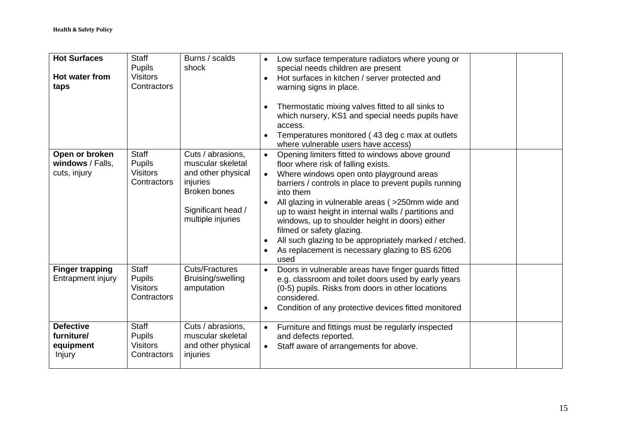| <b>Hot Surfaces</b><br>Hot water from<br>taps         | <b>Staff</b><br><b>Pupils</b><br><b>Visitors</b><br>Contractors | Burns / scalds<br>shock                                                                                                                    | Low surface temperature radiators where young or<br>$\bullet$<br>special needs children are present<br>Hot surfaces in kitchen / server protected and<br>warning signs in place.<br>Thermostatic mixing valves fitted to all sinks to<br>which nursery, KS1 and special needs pupils have<br>access.<br>Temperatures monitored (43 deg c max at outlets<br>where vulnerable users have access)                                                                                                                                                                     |
|-------------------------------------------------------|-----------------------------------------------------------------|--------------------------------------------------------------------------------------------------------------------------------------------|--------------------------------------------------------------------------------------------------------------------------------------------------------------------------------------------------------------------------------------------------------------------------------------------------------------------------------------------------------------------------------------------------------------------------------------------------------------------------------------------------------------------------------------------------------------------|
| Open or broken<br>windows / Falls,<br>cuts, injury    | <b>Staff</b><br><b>Pupils</b><br><b>Visitors</b><br>Contractors | Cuts / abrasions,<br>muscular skeletal<br>and other physical<br>injuries<br><b>Broken bones</b><br>Significant head /<br>multiple injuries | Opening limiters fitted to windows above ground<br>floor where risk of falling exists.<br>Where windows open onto playground areas<br>$\bullet$<br>barriers / controls in place to prevent pupils running<br>into them<br>All glazing in vulnerable areas ( > 250mm wide and<br>$\bullet$<br>up to waist height in internal walls / partitions and<br>windows, up to shoulder height in doors) either<br>filmed or safety glazing.<br>All such glazing to be appropriately marked / etched.<br>$\bullet$<br>As replacement is necessary glazing to BS 6206<br>used |
| <b>Finger trapping</b><br>Entrapment injury           | <b>Staff</b><br><b>Pupils</b><br><b>Visitors</b><br>Contractors | <b>Cuts/Fractures</b><br>Bruising/swelling<br>amputation                                                                                   | Doors in vulnerable areas have finger guards fitted<br>$\bullet$<br>e.g. classroom and toilet doors used by early years<br>(0-5) pupils. Risks from doors in other locations<br>considered.<br>Condition of any protective devices fitted monitored<br>$\bullet$                                                                                                                                                                                                                                                                                                   |
| <b>Defective</b><br>furniture/<br>equipment<br>Injury | <b>Staff</b><br><b>Pupils</b><br><b>Visitors</b><br>Contractors | Cuts / abrasions,<br>muscular skeletal<br>and other physical<br>injuries                                                                   | Furniture and fittings must be regularly inspected<br>and defects reported.<br>Staff aware of arrangements for above.<br>$\bullet$                                                                                                                                                                                                                                                                                                                                                                                                                                 |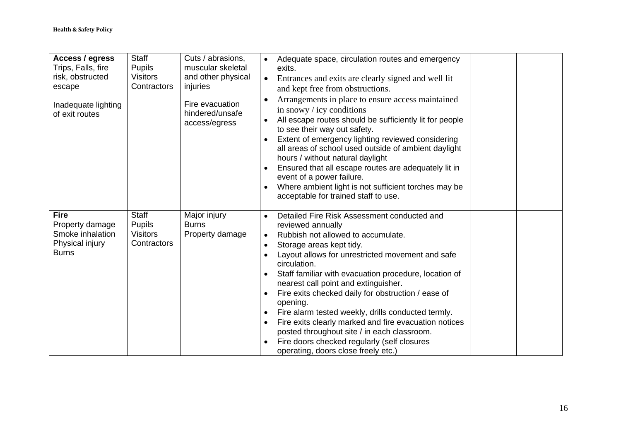| Access / egress<br>Trips, Falls, fire<br>risk, obstructed<br>escape<br>Inadequate lighting<br>of exit routes | <b>Staff</b><br><b>Pupils</b><br><b>Visitors</b><br>Contractors | Cuts / abrasions,<br>muscular skeletal<br>and other physical<br>injuries<br>Fire evacuation<br>hindered/unsafe<br>access/egress | Adequate space, circulation routes and emergency<br>$\bullet$<br>exits.<br>Entrances and exits are clearly signed and well lit<br>$\bullet$<br>and kept free from obstructions.<br>Arrangements in place to ensure access maintained<br>$\bullet$<br>in snowy $\prime$ icy conditions<br>All escape routes should be sufficiently lit for people<br>$\bullet$<br>to see their way out safety.<br>Extent of emergency lighting reviewed considering<br>$\bullet$<br>all areas of school used outside of ambient daylight<br>hours / without natural daylight<br>Ensured that all escape routes are adequately lit in<br>$\bullet$<br>event of a power failure.<br>Where ambient light is not sufficient torches may be<br>$\bullet$<br>acceptable for trained staff to use. |
|--------------------------------------------------------------------------------------------------------------|-----------------------------------------------------------------|---------------------------------------------------------------------------------------------------------------------------------|----------------------------------------------------------------------------------------------------------------------------------------------------------------------------------------------------------------------------------------------------------------------------------------------------------------------------------------------------------------------------------------------------------------------------------------------------------------------------------------------------------------------------------------------------------------------------------------------------------------------------------------------------------------------------------------------------------------------------------------------------------------------------|
| <b>Fire</b><br>Property damage<br>Smoke inhalation<br>Physical injury<br><b>Burns</b>                        | <b>Staff</b><br><b>Pupils</b><br><b>Visitors</b><br>Contractors | Major injury<br><b>Burns</b><br>Property damage                                                                                 | Detailed Fire Risk Assessment conducted and<br>$\bullet$<br>reviewed annually<br>Rubbish not allowed to accumulate.<br>$\bullet$<br>Storage areas kept tidy.<br>$\bullet$<br>Layout allows for unrestricted movement and safe<br>$\bullet$<br>circulation.<br>Staff familiar with evacuation procedure, location of<br>$\bullet$<br>nearest call point and extinguisher.<br>Fire exits checked daily for obstruction / ease of<br>$\bullet$<br>opening.<br>Fire alarm tested weekly, drills conducted termly.<br>$\bullet$<br>Fire exits clearly marked and fire evacuation notices<br>$\bullet$<br>posted throughout site / in each classroom.<br>Fire doors checked regularly (self closures<br>$\bullet$<br>operating, doors close freely etc.)                         |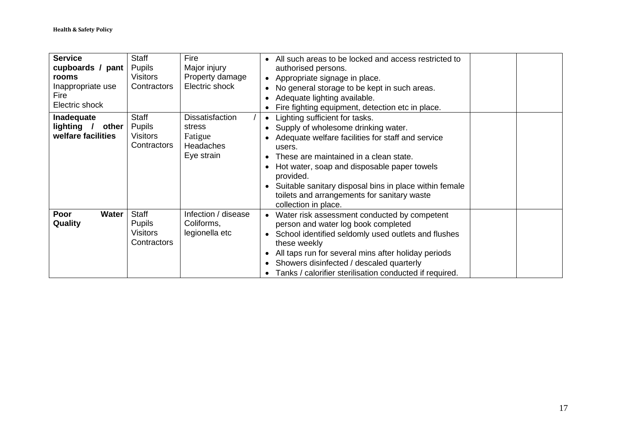| <b>Service</b><br>cupboards / pant<br>rooms<br>Inappropriate use<br>Fire<br>Electric shock | <b>Staff</b><br>Pupils<br>Visitors<br>Contractors               | Fire<br>Major injury<br>Property damage<br>Electric shock              | All such areas to be locked and access restricted to<br>authorised persons.<br>Appropriate signage in place.<br>No general storage to be kept in such areas.<br>Adequate lighting available.<br>Fire fighting equipment, detection etc in place.<br>$\bullet$                                                                                                                                         |  |
|--------------------------------------------------------------------------------------------|-----------------------------------------------------------------|------------------------------------------------------------------------|-------------------------------------------------------------------------------------------------------------------------------------------------------------------------------------------------------------------------------------------------------------------------------------------------------------------------------------------------------------------------------------------------------|--|
| Inadequate<br>lighting<br>other<br>welfare facilities                                      | Staff<br><b>Pupils</b><br><b>Visitors</b><br>Contractors        | <b>Dissatisfaction</b><br>stress<br>Fatigue<br>Headaches<br>Eye strain | Lighting sufficient for tasks.<br>Supply of wholesome drinking water.<br>Adequate welfare facilities for staff and service<br>users.<br>These are maintained in a clean state.<br>Hot water, soap and disposable paper towels<br>$\bullet$<br>provided.<br>Suitable sanitary disposal bins in place within female<br>$\bullet$<br>toilets and arrangements for sanitary waste<br>collection in place. |  |
| Poor<br>Water<br>Quality                                                                   | <b>Staff</b><br><b>Pupils</b><br><b>Visitors</b><br>Contractors | Infection / disease<br>Coliforms,<br>legionella etc                    | Water risk assessment conducted by competent<br>person and water log book completed<br>School identified seldomly used outlets and flushes<br>$\bullet$<br>these weekly<br>All taps run for several mins after holiday periods<br>Showers disinfected / descaled quarterly<br>Tanks / calorifier sterilisation conducted if required.                                                                 |  |